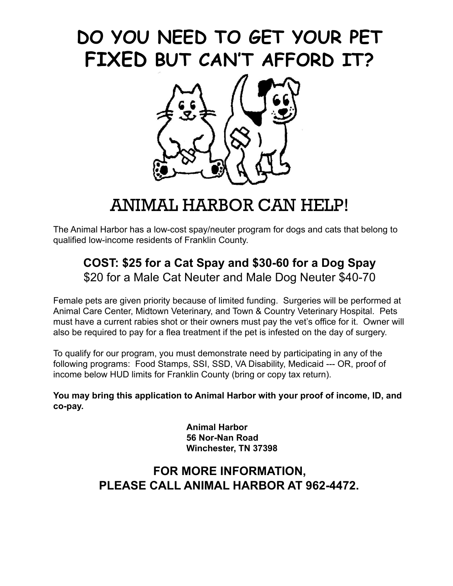# **DO YOU NEED TO GET YOUR PET FIXED BUT CAN'T AFFORD IT?**



## ANIMAL HARBOR CAN HELP!

The Animal Harbor has a low-cost spay/neuter program for dogs and cats that belong to qualified low-income residents of Franklin County.

### **COST: \$25 for a Cat Spay and \$30-60 for a Dog Spay** \$20 for a Male Cat Neuter and Male Dog Neuter \$40-70

Female pets are given priority because of limited funding. Surgeries will be performed at Animal Care Center, Midtown Veterinary, and Town & Country Veterinary Hospital. Pets must have a current rabies shot or their owners must pay the vet's office for it. Owner will also be required to pay for a flea treatment if the pet is infested on the day of surgery.

To qualify for our program, you must demonstrate need by participating in any of the following programs: Food Stamps, SSI, SSD, VA Disability, Medicaid --- OR, proof of income below HUD limits for Franklin County (bring or copy tax return).

**You may bring this application to Animal Harbor with your proof of income, ID, and co-pay.**

> **Animal Harbor 56 Nor-Nan Road Winchester, TN 37398**

#### **FOR MORE INFORMATION, PLEASE CALL ANIMAL HARBOR AT 962-4472.**